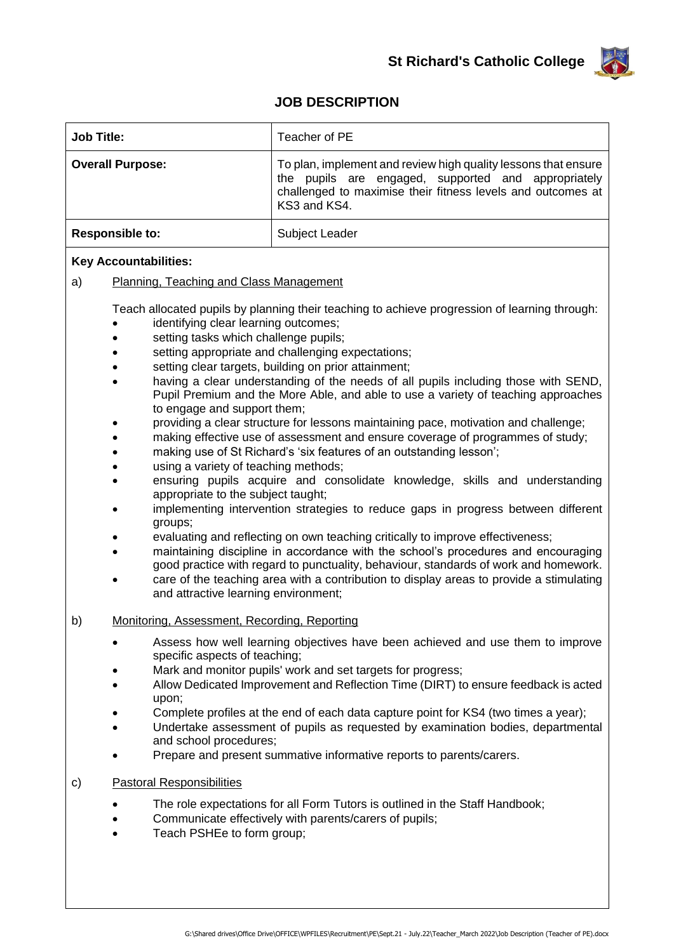

## **JOB DESCRIPTION**

| <b>Job Title:</b>                                                                                                                                                                                                                                                                                                                                                                                                                                                                                                                                                                                                                                                                                                                                                                                                                                                                                                                                                                                                                                                                                                                                                                                                                                                                                                                                                                                                                                                                                     | Teacher of PE                                                                                                                                                                                        |
|-------------------------------------------------------------------------------------------------------------------------------------------------------------------------------------------------------------------------------------------------------------------------------------------------------------------------------------------------------------------------------------------------------------------------------------------------------------------------------------------------------------------------------------------------------------------------------------------------------------------------------------------------------------------------------------------------------------------------------------------------------------------------------------------------------------------------------------------------------------------------------------------------------------------------------------------------------------------------------------------------------------------------------------------------------------------------------------------------------------------------------------------------------------------------------------------------------------------------------------------------------------------------------------------------------------------------------------------------------------------------------------------------------------------------------------------------------------------------------------------------------|------------------------------------------------------------------------------------------------------------------------------------------------------------------------------------------------------|
| <b>Overall Purpose:</b>                                                                                                                                                                                                                                                                                                                                                                                                                                                                                                                                                                                                                                                                                                                                                                                                                                                                                                                                                                                                                                                                                                                                                                                                                                                                                                                                                                                                                                                                               | To plan, implement and review high quality lessons that ensure<br>the pupils are engaged, supported and appropriately<br>challenged to maximise their fitness levels and outcomes at<br>KS3 and KS4. |
| <b>Responsible to:</b>                                                                                                                                                                                                                                                                                                                                                                                                                                                                                                                                                                                                                                                                                                                                                                                                                                                                                                                                                                                                                                                                                                                                                                                                                                                                                                                                                                                                                                                                                | Subject Leader                                                                                                                                                                                       |
| <b>Key Accountabilities:</b><br>a)<br>Planning, Teaching and Class Management<br>Teach allocated pupils by planning their teaching to achieve progression of learning through:<br>identifying clear learning outcomes;<br>setting tasks which challenge pupils;<br>setting appropriate and challenging expectations;<br>setting clear targets, building on prior attainment;<br>having a clear understanding of the needs of all pupils including those with SEND,<br>Pupil Premium and the More Able, and able to use a variety of teaching approaches<br>to engage and support them;<br>providing a clear structure for lessons maintaining pace, motivation and challenge;<br>making effective use of assessment and ensure coverage of programmes of study;<br>making use of St Richard's 'six features of an outstanding lesson';<br>using a variety of teaching methods;<br>ensuring pupils acquire and consolidate knowledge, skills and understanding<br>appropriate to the subject taught;<br>implementing intervention strategies to reduce gaps in progress between different<br>groups;<br>evaluating and reflecting on own teaching critically to improve effectiveness;<br>maintaining discipline in accordance with the school's procedures and encouraging<br>good practice with regard to punctuality, behaviour, standards of work and homework.<br>care of the teaching area with a contribution to display areas to provide a stimulating<br>and attractive learning environment; |                                                                                                                                                                                                      |
| b)<br>Monitoring, Assessment, Recording, Reporting                                                                                                                                                                                                                                                                                                                                                                                                                                                                                                                                                                                                                                                                                                                                                                                                                                                                                                                                                                                                                                                                                                                                                                                                                                                                                                                                                                                                                                                    |                                                                                                                                                                                                      |
|                                                                                                                                                                                                                                                                                                                                                                                                                                                                                                                                                                                                                                                                                                                                                                                                                                                                                                                                                                                                                                                                                                                                                                                                                                                                                                                                                                                                                                                                                                       | Assess how well learning objectives have been achieved and use them to improve                                                                                                                       |

- specific aspects of teaching; Mark and monitor pupils' work and set targets for progress;
- Allow Dedicated Improvement and Reflection Time (DIRT) to ensure feedback is acted upon;
- Complete profiles at the end of each data capture point for KS4 (two times a year);
- Undertake assessment of pupils as requested by examination bodies, departmental and school procedures;
- Prepare and present summative informative reports to parents/carers.
- c) Pastoral Responsibilities
	- The role expectations for all Form Tutors is outlined in the Staff Handbook;
	- Communicate effectively with parents/carers of pupils;
	- Teach PSHEe to form group;